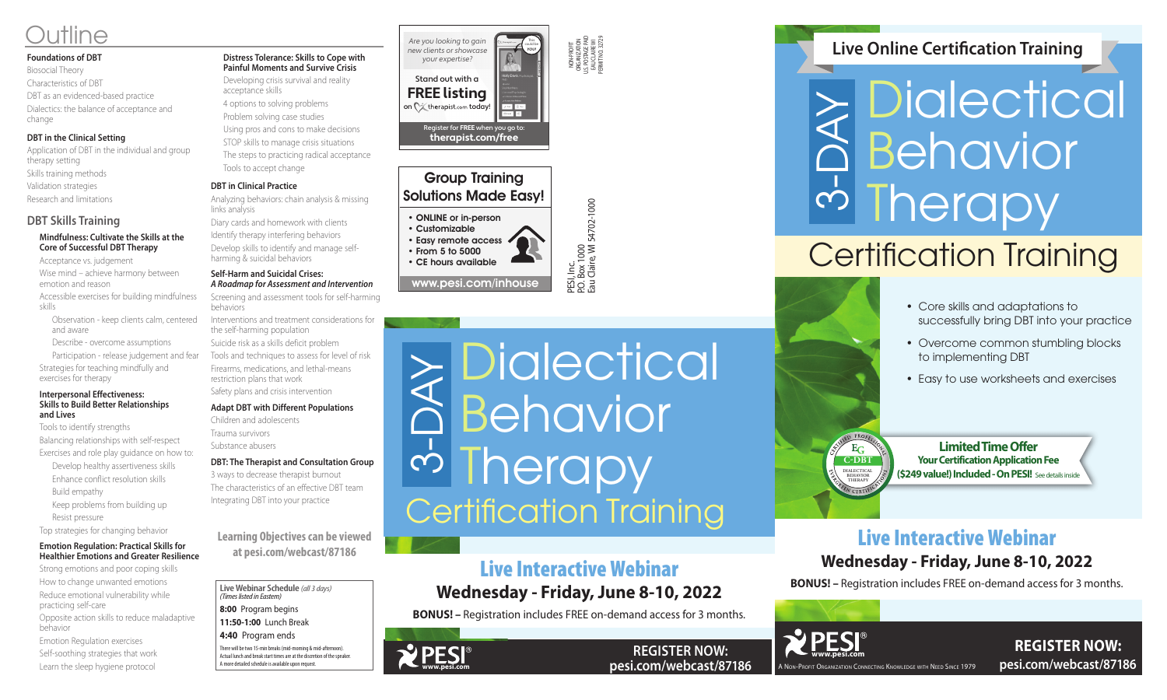### **Foundations of DBT**

Biosocial Theory Characteristics of DBT DBT as an evidenced-based practice Dialectics: the balance of acceptance and change

### **DBT in the Clinical Setting**

Application of DBT in the individual and group therapy setting Skills training methods Validation strategies Research and limitations

### **DBT Skills Training**

### **Mindfulness: Cultivate the Skills at the Core of Successful DBT Therapy**

Acceptance vs. judgement

Wise mind – achieve harmony between emotion and reason

Accessible exercises for building mindfulness skills

Observation - keep clients calm, centered and aware

Describe - overcome assumptions

Participation - release judgement and fear Strategies for teaching mindfully and exercises for therapy

#### **Interpersonal Effectiveness: Skills to Build Better Relationships and Lives**

Tools to identify strengths

Balancing relationships with self-respect Exercises and role play guidance on how to:

Develop healthy assertiveness skills Enhance conflict resolution skills

- Build empathy
- Keep problems from building up Resist pressure

Top strategies for changing behavior

### **Emotion Regulation: Practical Skills for Healthier Emotions and Greater Resilience**

Strong emotions and poor coping skills How to change unwanted emotions Reduce emotional vulnerability while practicing self-care

Opposite action skills to reduce maladaptive behavior

Emotion Regulation exercises Self-soothing strategies that work Learn the sleep hygiene protocol

## PESI, Inc.<br>P.O. Box 1000<br>Eau Claire, Wl 54702-1000 • Customizable • Easy remote access • From 5 to 5000 • CE hours available

### **Distress Tolerance: Skills to Cope with Painful Moments and Survive Crisis**

Developing crisis survival and reality acceptance skills

# 3-DAY **Dialectical** Behavior **I** herapy

**REGISTER NOW: pesi.com/webcast/87186**

- 4 options to solving problems Problem solving case studies
- Using pros and cons to make decisions
- STOP skills to manage crisis situations
- The steps to practicing radical acceptance Tools to accept change

### **DBT in Clinical Practice**

Analyzing behaviors: chain analysis & missing links analysis

Diary cards and homework with clients Identify therapy interfering behaviors

Develop skills to identify and manage selfharming & suicidal behaviors

### **Self-Harm and Suicidal Crises:** *A Roadmap for Assessment and Intervention*

Screening and assessment tools for self-harming behaviors

Interventions and treatment considerations for the self-harming population

Suicide risk as a skills deficit problem Tools and techniques to assess for level of risk Firearms, medications, and lethal-means restriction plans that work

Safety plans and crisis intervention

### **Adapt DBT with Different Populations**

Children and adolescents Trauma survivors Substance abusers

### **DBT: The Therapist and Consultation Group**

3 ways to decrease therapist burnout The characteristics of an effective DBT team Integrating DBT into your practice

NON-PROFIT ORGANIZATION U.S. POSTAGE PAID EAU CLAIRE WI PERMIT NO. 32729

P.O. Box 1000

Eau Claire, WI 54702-1000

Group Training Solutions Made Easy!

• ONLINE or in-person

www.pesi.com/inhouse





**pesi.com/webcast/87186**

A Non-Profit Organization Connecting Knowledge with Need Since 1979

# Live Interactive Webinar

## **Wednesday - Friday, June 8-10, 2022**

**BONUS! –** Registration includes FREE on-demand access for 3 months.



## Live Interactive Webinar **Wednesday - Friday, June 8-10, 2022**

**BONUS! –** Registration includes FREE on-demand access for 3 months.



## **Live Online Certification Training**

**Live Webinar Schedule** *(all 3 days) (Times listed in Eastern)*

**8:00** Program begins

**11:50-1:00** Lunch Break **4:40** Program ends

There will be two 15-min breaks (mid-morning & mid-afternoon). Actual lunch and break start times are at the discretion of the speaker. A more detailed schedule is available upon request.

# Outline

**Learning Objectives can be viewed at pesi.com/webcast/87186**

# Certification Training

Are you looking to gain new clients or showcase your expertise?

Stand out with a **FREE listing**

**WPESI** 

This could be **YOU!**

 $\overline{\phantom{a}}$ 

Register for **FREE** when you go to: **therapist.com/free**

on  $\bigcirc$  therapist.com today! I was I im